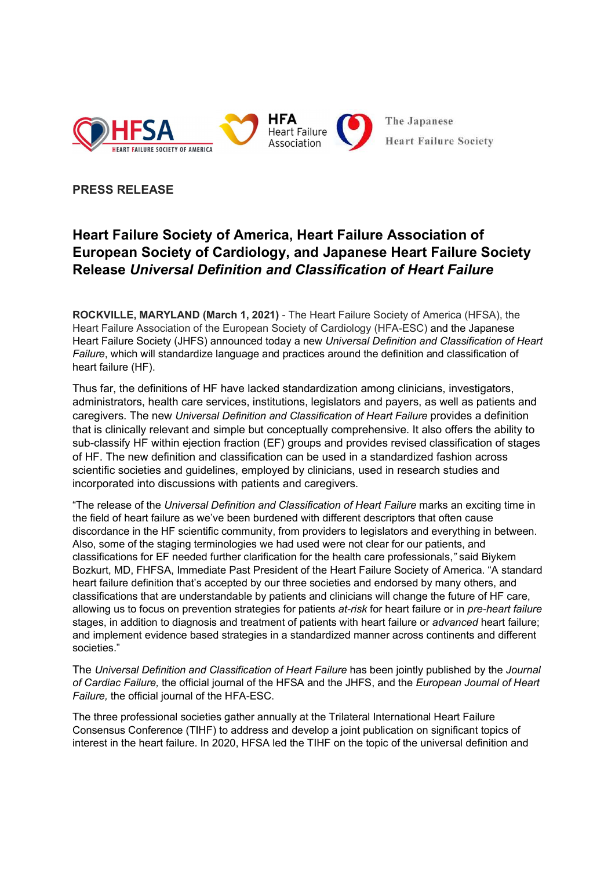

## PRESS RELEASE

# Heart Failure Society of America, Heart Failure Association of European Society of Cardiology, and Japanese Heart Failure Society Release Universal Definition and Classification of Heart Failure

ROCKVILLE, MARYLAND (March 1, 2021) - The Heart Failure Society of America (HFSA), the Heart Failure Association of the European Society of Cardiology (HFA-ESC) and the Japanese Heart Failure Society (JHFS) announced today a new Universal Definition and Classification of Heart Failure, which will standardize language and practices around the definition and classification of heart failure (HF).

Thus far, the definitions of HF have lacked standardization among clinicians, investigators, administrators, health care services, institutions, legislators and payers, as well as patients and caregivers. The new Universal Definition and Classification of Heart Failure provides a definition that is clinically relevant and simple but conceptually comprehensive. It also offers the ability to sub-classify HF within ejection fraction (EF) groups and provides revised classification of stages of HF. The new definition and classification can be used in a standardized fashion across scientific societies and guidelines, employed by clinicians, used in research studies and incorporated into discussions with patients and caregivers.

"The release of the Universal Definition and Classification of Heart Failure marks an exciting time in the field of heart failure as we've been burdened with different descriptors that often cause discordance in the HF scientific community, from providers to legislators and everything in between. Also, some of the staging terminologies we had used were not clear for our patients, and classifications for EF needed further clarification for the health care professionals," said Biykem Bozkurt, MD, FHFSA, Immediate Past President of the Heart Failure Society of America. "A standard heart failure definition that's accepted by our three societies and endorsed by many others, and classifications that are understandable by patients and clinicians will change the future of HF care, allowing us to focus on prevention strategies for patients at-risk for heart failure or in pre-heart failure stages, in addition to diagnosis and treatment of patients with heart failure or *advanced* heart failure; and implement evidence based strategies in a standardized manner across continents and different societies."

The Universal Definition and Classification of Heart Failure has been jointly published by the Journal of Cardiac Failure, the official journal of the HFSA and the JHFS, and the European Journal of Heart Failure, the official journal of the HFA-ESC.

The three professional societies gather annually at the Trilateral International Heart Failure Consensus Conference (TIHF) to address and develop a joint publication on significant topics of interest in the heart failure. In 2020, HFSA led the TIHF on the topic of the universal definition and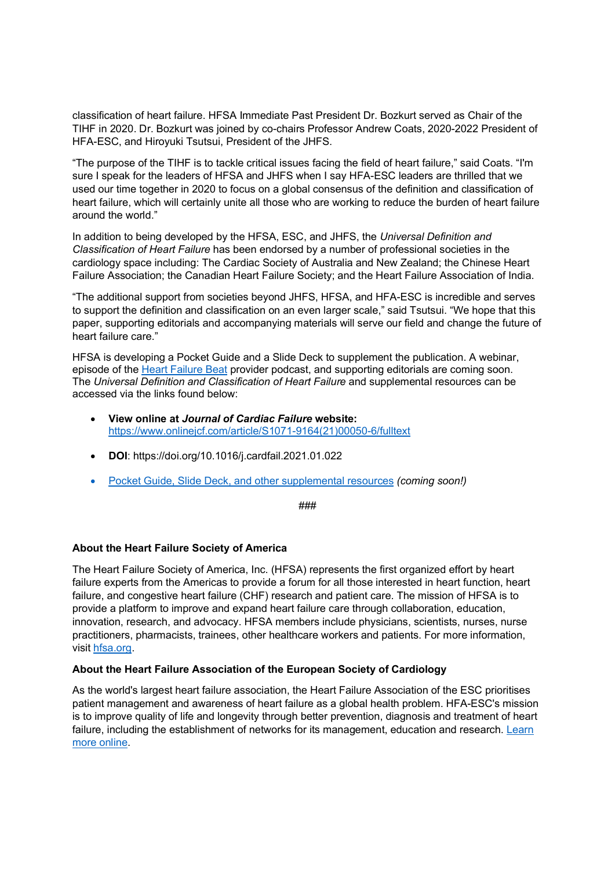classification of heart failure. HFSA Immediate Past President Dr. Bozkurt served as Chair of the TIHF in 2020. Dr. Bozkurt was joined by co-chairs Professor Andrew Coats, 2020-2022 President of HFA-ESC, and Hiroyuki Tsutsui, President of the JHFS.

"The purpose of the TIHF is to tackle critical issues facing the field of heart failure," said Coats. "I'm sure I speak for the leaders of HFSA and JHFS when I say HFA-ESC leaders are thrilled that we used our time together in 2020 to focus on a global consensus of the definition and classification of heart failure, which will certainly unite all those who are working to reduce the burden of heart failure around the world."

In addition to being developed by the HFSA, ESC, and JHFS, the Universal Definition and Classification of Heart Failure has been endorsed by a number of professional societies in the cardiology space including: The Cardiac Society of Australia and New Zealand; the Chinese Heart Failure Association; the Canadian Heart Failure Society; and the Heart Failure Association of India.

"The additional support from societies beyond JHFS, HFSA, and HFA-ESC is incredible and serves to support the definition and classification on an even larger scale," said Tsutsui. "We hope that this paper, supporting editorials and accompanying materials will serve our field and change the future of heart failure care."

HFSA is developing a Pocket Guide and a Slide Deck to supplement the publication. A webinar, episode of the Heart Failure Beat provider podcast, and supporting editorials are coming soon. The Universal Definition and Classification of Heart Failure and supplemental resources can be accessed via the links found below:

- View online at Journal of Cardiac Failure website: https://www.onlinejcf.com/article/S1071-9164(21)00050-6/fulltext
- DOI: https://doi.org/10.1016/j.cardfail.2021.01.022
- Pocket Guide, Slide Deck, and other supplemental resources *(coming soon!)*

###

### About the Heart Failure Society of America

The Heart Failure Society of America, Inc. (HFSA) represents the first organized effort by heart failure experts from the Americas to provide a forum for all those interested in heart function, heart failure, and congestive heart failure (CHF) research and patient care. The mission of HFSA is to provide a platform to improve and expand heart failure care through collaboration, education, innovation, research, and advocacy. HFSA members include physicians, scientists, nurses, nurse practitioners, pharmacists, trainees, other healthcare workers and patients. For more information, visit hfsa.org.

#### About the Heart Failure Association of the European Society of Cardiology

As the world's largest heart failure association, the Heart Failure Association of the ESC prioritises patient management and awareness of heart failure as a global health problem. HFA-ESC's mission is to improve quality of life and longevity through better prevention, diagnosis and treatment of heart failure, including the establishment of networks for its management, education and research. Learn more online.